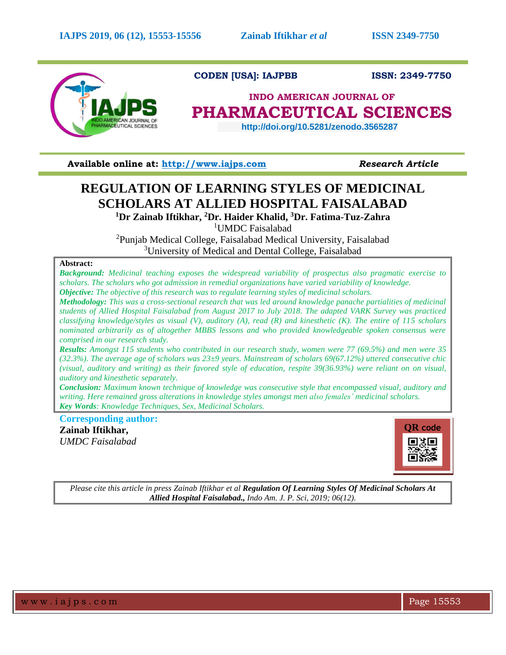

**CODEN [USA]: IAJPBB ISSN: 2349-7750**

# **INDO AMERICAN JOURNAL OF PHARMACEUTICAL SCIENCES**

 **http://doi.org/10.5281/zenodo.3565287** 

**Available online at: [http://www.iajps.com](http://www.iajps.com/)** *Research Article*

# **REGULATION OF LEARNING STYLES OF MEDICINAL SCHOLARS AT ALLIED HOSPITAL FAISALABAD**

**<sup>1</sup>Dr Zainab Iftikhar, <sup>2</sup>Dr. Haider Khalid, <sup>3</sup>Dr. Fatima-Tuz-Zahra**

<sup>1</sup>UMDC Faisalabad

<sup>2</sup>Punjab Medical College, Faisalabad Medical University, Faisalabad <sup>3</sup>University of Medical and Dental College, Faisalabad

# **Abstract:**

*Background: Medicinal teaching exposes the widespread variability of prospectus also pragmatic exercise to scholars. The scholars who got admission in remedial organizations have varied variability of knowledge. Objective: The objective of this research was to regulate learning styles of medicinal scholars.* 

*Methodology: This was a cross-sectional research that was led around knowledge panache partialities of medicinal students of Allied Hospital Faisalabad from August 2017 to July 2018. The adapted VARK Survey was practiced classifying knowledge/styles as visual (V), auditory (A), read (R) and kinesthetic (K). The entire of 115 scholars nominated arbitrarily as of altogether MBBS lessons and who provided knowledgeable spoken consensus were comprised in our research study.* 

*Results: Amongst 115 students who contributed in our research study, women were 77 (69.5%) and men were 35 (32.3%). The average age of scholars was 23±9 years. Mainstream of scholars 69(67.12%) uttered consecutive chic (visual, auditory and writing) as their favored style of education, respite 39(36.93%) were reliant on on visual, auditory and kinesthetic separately.* 

*Conclusion: Maximum known technique of knowledge was consecutive style that encompassed visual, auditory and writing. Here remained gross alterations in knowledge styles amongst men also females' medicinal scholars. Key Words: Knowledge Techniques, Sex, Medicinal Scholars.*

**Corresponding author:** 

**Zainab Iftikhar,** *UMDC Faisalabad*



*Please cite this article in press Zainab Iftikhar et al Regulation Of Learning Styles Of Medicinal Scholars At Allied Hospital Faisalabad., Indo Am. J. P. Sci, 2019; 06(12).*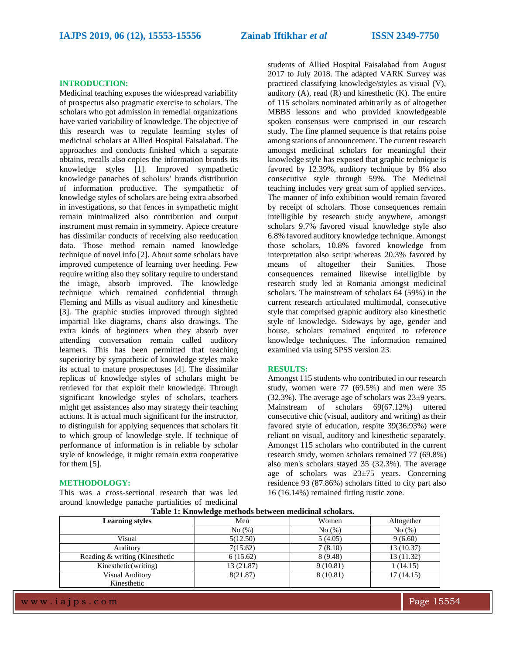#### **INTRODUCTION:**

Medicinal teaching exposes the widespread variability of prospectus also pragmatic exercise to scholars. The scholars who got admission in remedial organizations have varied variability of knowledge. The objective of this research was to regulate learning styles of medicinal scholars at Allied Hospital Faisalabad. The approaches and conducts finished which a separate obtains, recalls also copies the information brands its knowledge styles [1]. Improved sympathetic knowledge panaches of scholars' brands distribution of information productive. The sympathetic of knowledge styles of scholars are being extra absorbed in investigations, so that fences in sympathetic might remain minimalized also contribution and output instrument must remain in symmetry. Apiece creature has dissimilar conducts of receiving also reeducation data. Those method remain named knowledge technique of novel info [2]. About some scholars have improved competence of learning over heeding. Few require writing also they solitary require to understand the image, absorb improved. The knowledge technique which remained confidential through Fleming and Mills as visual auditory and kinesthetic [3]. The graphic studies improved through sighted impartial like diagrams, charts also drawings. The extra kinds of beginners when they absorb over attending conversation remain called auditory learners. This has been permitted that teaching superiority by sympathetic of knowledge styles make its actual to mature prospectuses [4]. The dissimilar replicas of knowledge styles of scholars might be retrieved for that exploit their knowledge. Through significant knowledge styles of scholars, teachers might get assistances also may strategy their teaching actions. It is actual much significant for the instructor, to distinguish for applying sequences that scholars fit to which group of knowledge style. If technique of performance of information is in reliable by scholar style of knowledge, it might remain extra cooperative for them [5].

#### **METHODOLOGY:**

This was a cross-sectional research that was led around knowledge panache partialities of medicinal students of Allied Hospital Faisalabad from August 2017 to July 2018. The adapted VARK Survey was practiced classifying knowledge/styles as visual (V), auditory  $(A)$ , read  $(R)$  and kinesthetic  $(K)$ . The entire of 115 scholars nominated arbitrarily as of altogether MBBS lessons and who provided knowledgeable spoken consensus were comprised in our research study. The fine planned sequence is that retains poise among stations of announcement. The current research amongst medicinal scholars for meaningful their knowledge style has exposed that graphic technique is favored by 12.39%, auditory technique by 8% also consecutive style through 59%. The Medicinal teaching includes very great sum of applied services. The manner of info exhibition would remain favored by receipt of scholars. Those consequences remain intelligible by research study anywhere, amongst scholars 9.7% favored visual knowledge style also 6.8% favored auditory knowledge technique. Amongst those scholars, 10.8% favored knowledge from interpretation also script whereas 20.3% favored by means of altogether their Sanities. Those consequences remained likewise intelligible by research study led at Romania amongst medicinal scholars. The mainstream of scholars 64 (59%) in the current research articulated multimodal, consecutive style that comprised graphic auditory also kinesthetic style of knowledge. Sideways by age, gender and house, scholars remained enquired to reference knowledge techniques. The information remained examined via using SPSS version 23.

#### **RESULTS:**

Amongst 115 students who contributed in our research study, women were 77 (69.5%) and men were 35  $(32.3\%)$ . The average age of scholars was  $23\pm9$  years. Mainstream of scholars 69(67.12%) uttered consecutive chic (visual, auditory and writing) as their favored style of education, respite 39(36.93%) were reliant on visual, auditory and kinesthetic separately. Amongst 115 scholars who contributed in the current research study, women scholars remained 77 (69.8%) also men's scholars stayed 35 (32.3%). The average age of scholars was 23±75 years. Concerning residence 93 (87.86%) scholars fitted to city part also 16 (16.14%) remained fitting rustic zone.

| Table 1: Knowledge methods between medicinal scholars. |            |           |            |
|--------------------------------------------------------|------------|-----------|------------|
| <b>Learning styles</b>                                 | Men        | Women     | Altogether |
|                                                        | No(%)      | No(%)     | No(%)      |
| Visual                                                 | 5(12.50)   | 5(4.05)   | 9(6.60)    |
| Auditory                                               | 7(15.62)   | 7(8.10)   | 13 (10.37) |
| Reading & writing (Kinesthetic                         | 6(15.62)   | 8 (9.48)  | 13 (11.32) |
| Kinesthetic(writing)                                   | 13 (21.87) | 9(10.81)  | 1(14.15)   |
| <b>Visual Auditory</b>                                 | 8(21.87)   | 8 (10.81) | 17(14.15)  |
| Kinesthetic                                            |            |           |            |

**Table 1: Knowledge methods between medicinal scholars.**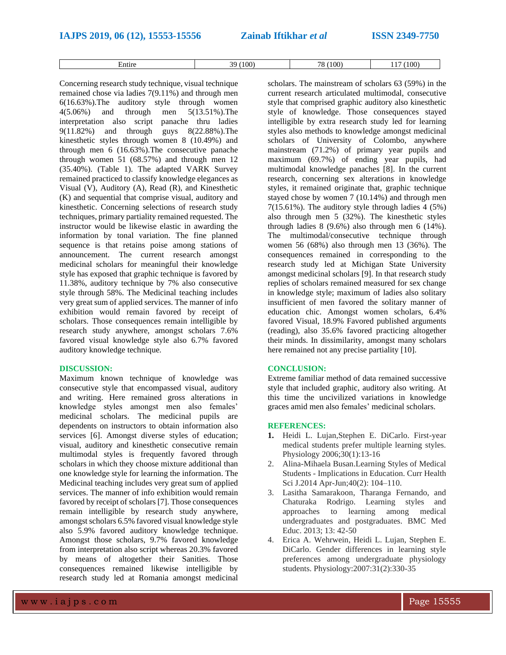Entire 117 (100) 39 (100) 78 (100) 117 (100)

Concerning research study technique, visual technique remained chose via ladies 7(9.11%) and through men 6(16.63%).The auditory style through women 4(5.06%) and through men 5(13.51%).The interpretation also script panache thru ladies 9(11.82%) and through guys 8(22.88%).The kinesthetic styles through women 8 (10.49%) and through men 6 (16.63%).The consecutive panache through women 51 (68.57%) and through men 12 (35.40%). (Table 1). The adapted VARK Survey remained practiced to classify knowledge elegances as Visual (V), Auditory (A), Read (R), and Kinesthetic (K) and sequential that comprise visual, auditory and kinesthetic. Concerning selections of research study techniques, primary partiality remained requested. The instructor would be likewise elastic in awarding the information by tonal variation. The fine planned sequence is that retains poise among stations of announcement. The current research amongst medicinal scholars for meaningful their knowledge style has exposed that graphic technique is favored by 11.38%, auditory technique by 7% also consecutive style through 58%. The Medicinal teaching includes very great sum of applied services. The manner of info exhibition would remain favored by receipt of scholars. Those consequences remain intelligible by research study anywhere, amongst scholars 7.6% favored visual knowledge style also 6.7% favored auditory knowledge technique.

## **DISCUSSION:**

Maximum known technique of knowledge was consecutive style that encompassed visual, auditory and writing. Here remained gross alterations in knowledge styles amongst men also females' medicinal scholars. The medicinal pupils are dependents on instructors to obtain information also services [6]. Amongst diverse styles of education; visual, auditory and kinesthetic consecutive remain multimodal styles is frequently favored through scholars in which they choose mixture additional than one knowledge style for learning the information. The Medicinal teaching includes very great sum of applied services. The manner of info exhibition would remain favored by receipt of scholars [7]. Those consequences remain intelligible by research study anywhere, amongst scholars 6.5% favored visual knowledge style also 5.9% favored auditory knowledge technique. Amongst those scholars, 9.7% favored knowledge from interpretation also script whereas 20.3% favored by means of altogether their Sanities. Those consequences remained likewise intelligible by research study led at Romania amongst medicinal

scholars. The mainstream of scholars 63 (59%) in the current research articulated multimodal, consecutive style that comprised graphic auditory also kinesthetic style of knowledge. Those consequences stayed intelligible by extra research study led for learning styles also methods to knowledge amongst medicinal scholars of University of Colombo, anywhere mainstream (71.2%) of primary year pupils and maximum (69.7%) of ending year pupils, had multimodal knowledge panaches [8]. In the current research, concerning sex alterations in knowledge styles, it remained originate that, graphic technique stayed chose by women 7 (10.14%) and through men  $7(15.61\%)$ . The auditory style through ladies 4 (5%) also through men 5 (32%). The kinesthetic styles through ladies 8 (9.6%) also through men 6 (14%). The multimodal/consecutive technique through women 56 (68%) also through men 13 (36%). The consequences remained in corresponding to the research study led at Michigan State University amongst medicinal scholars [9]. In that research study replies of scholars remained measured for sex change in knowledge style; maximum of ladies also solitary insufficient of men favored the solitary manner of education chic. Amongst women scholars, 6.4% favored Visual, 18.9% Favored published arguments (reading), also 35.6% favored practicing altogether their minds. In dissimilarity, amongst many scholars here remained not any precise partiality [10].

# **CONCLUSION:**

Extreme familiar method of data remained successive style that included graphic, auditory also writing. At this time the uncivilized variations in knowledge graces amid men also females' medicinal scholars.

## **REFERENCES:**

- **1.** Heidi L. Lujan,Stephen E. DiCarlo. First-year medical students prefer multiple learning styles. Physiology 2006;30(1):13-16
- 2. Alina-Mihaela Busan.Learning Styles of Medical Students - Implications in Education. Curr Health Sci J.2014 Apr-Jun;40(2): 104–110.
- 3. Lasitha Samarakoon, Tharanga Fernando, and Chaturaka Rodrigo. Learning styles and approaches to learning among medical undergraduates and postgraduates. BMC Med Educ. 2013; 13: 42-50
- 4. Erica A. Wehrwein, Heidi L. Lujan, Stephen E. DiCarlo. Gender differences in learning style preferences among undergraduate physiology students. Physiology:2007:31(2):330-35